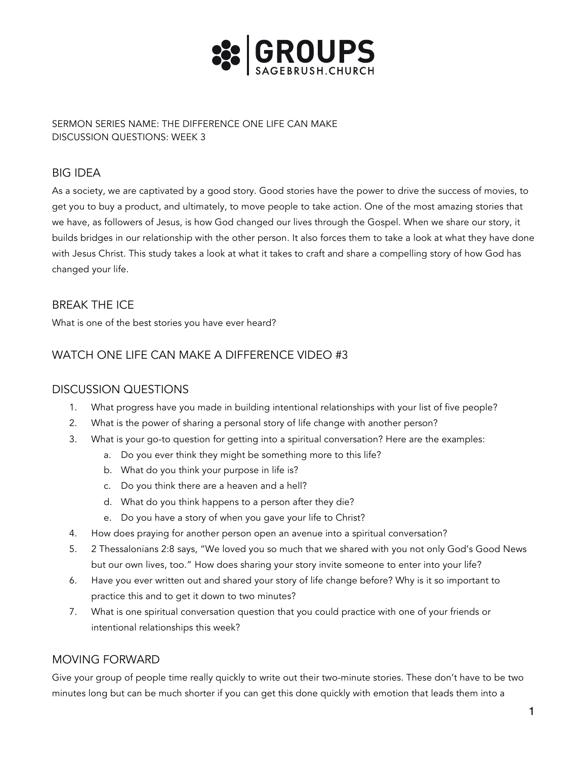

SERMON SERIES NAME: THE DIFFERENCE ONE LIFE CAN MAKE DISCUSSION QUESTIONS: WEEK 3

# BIG IDEA

As a society, we are captivated by a good story. Good stories have the power to drive the success of movies, to get you to buy a product, and ultimately, to move people to take action. One of the most amazing stories that we have, as followers of Jesus, is how God changed our lives through the Gospel. When we share our story, it builds bridges in our relationship with the other person. It also forces them to take a look at what they have done with Jesus Christ. This study takes a look at what it takes to craft and share a compelling story of how God has changed your life.

## BREAK THE ICE

What is one of the best stories you have ever heard?

# WATCH ONE LIFE CAN MAKE A DIFFERENCE VIDEO #3

### DISCUSSION QUESTIONS

- 1. What progress have you made in building intentional relationships with your list of five people?
- 2. What is the power of sharing a personal story of life change with another person?
- 3. What is your go-to question for getting into a spiritual conversation? Here are the examples:
	- a. Do you ever think they might be something more to this life?
	- b. What do you think your purpose in life is?
	- c. Do you think there are a heaven and a hell?
	- d. What do you think happens to a person after they die?
	- e. Do you have a story of when you gave your life to Christ?
- 4. How does praying for another person open an avenue into a spiritual conversation?
- 5. 2 Thessalonians 2:8 says, "We loved you so much that we shared with you not only God's Good News but our own lives, too." How does sharing your story invite someone to enter into your life?
- 6. Have you ever written out and shared your story of life change before? Why is it so important to practice this and to get it down to two minutes?
- 7. What is one spiritual conversation question that you could practice with one of your friends or intentional relationships this week?

### MOVING FORWARD

Give your group of people time really quickly to write out their two-minute stories. These don't have to be two minutes long but can be much shorter if you can get this done quickly with emotion that leads them into a